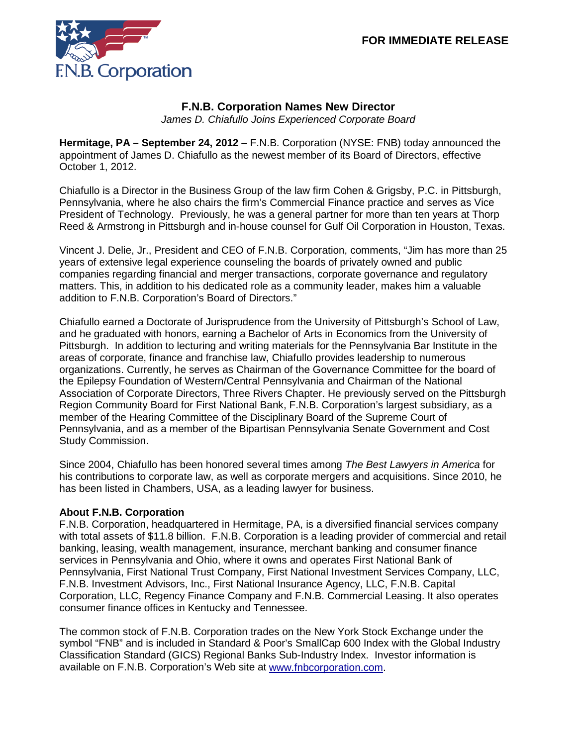

## **F.N.B. Corporation Names New Director**

*James D. Chiafullo Joins Experienced Corporate Board*

**Hermitage, PA – September 24, 2012** – F.N.B. Corporation (NYSE: FNB) today announced the appointment of James D. Chiafullo as the newest member of its Board of Directors, effective October 1, 2012.

Chiafullo is a Director in the Business Group of the law firm Cohen & Grigsby, P.C. in Pittsburgh, Pennsylvania, where he also chairs the firm's Commercial Finance practice and serves as Vice President of Technology. Previously, he was a general partner for more than ten years at Thorp Reed & Armstrong in Pittsburgh and in-house counsel for Gulf Oil Corporation in Houston, Texas.

Vincent J. Delie, Jr., President and CEO of F.N.B. Corporation, comments, "Jim has more than 25 years of extensive legal experience counseling the boards of privately owned and public companies regarding financial and merger transactions, corporate governance and regulatory matters. This, in addition to his dedicated role as a community leader, makes him a valuable addition to F.N.B. Corporation's Board of Directors."

Chiafullo earned a Doctorate of Jurisprudence from the University of Pittsburgh's School of Law, and he graduated with honors, earning a Bachelor of Arts in Economics from the University of Pittsburgh. In addition to lecturing and writing materials for the Pennsylvania Bar Institute in the areas of corporate, finance and franchise law, Chiafullo provides leadership to numerous organizations. Currently, he serves as Chairman of the Governance Committee for the board of the Epilepsy Foundation of Western/Central Pennsylvania and Chairman of the National Association of Corporate Directors, Three Rivers Chapter. He previously served on the Pittsburgh Region Community Board for First National Bank, F.N.B. Corporation's largest subsidiary, as a member of the Hearing Committee of the Disciplinary Board of the Supreme Court of Pennsylvania, and as a member of the Bipartisan Pennsylvania Senate Government and Cost Study Commission.

Since 2004, Chiafullo has been honored several times among *The Best Lawyers in America* for his contributions to corporate law, as well as corporate mergers and acquisitions. Since 2010, he has been listed in Chambers, USA, as a leading lawyer for business.

## **About F.N.B. Corporation**

F.N.B. Corporation, headquartered in Hermitage, PA, is a diversified financial services company with total assets of \$11.8 billion. F.N.B. Corporation is a leading provider of commercial and retail banking, leasing, wealth management, insurance, merchant banking and consumer finance services in Pennsylvania and Ohio, where it owns and operates First National Bank of Pennsylvania, First National Trust Company, First National Investment Services Company, LLC, F.N.B. Investment Advisors, Inc., First National Insurance Agency, LLC, F.N.B. Capital Corporation, LLC, Regency Finance Company and F.N.B. Commercial Leasing. It also operates consumer finance offices in Kentucky and Tennessee.

The common stock of F.N.B. Corporation trades on the New York Stock Exchange under the symbol "FNB" and is included in Standard & Poor's SmallCap 600 Index with the Global Industry Classification Standard (GICS) Regional Banks Sub-Industry Index. Investor information is available on F.N.B. Corporation's Web site at [www.fnbcorporation.com.](http://www.fnbcorporation.com/)